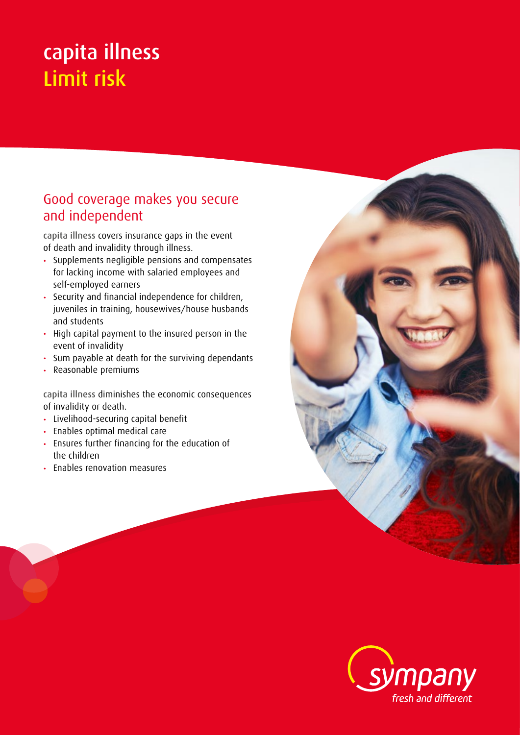# capita illness Limit risk

## Good coverage makes you secure and independent

capita illness covers insurance gaps in the event of death and invalidity through illness.

- Supplements negligible pensions and compensates for lacking income with salaried employees and self-employed earners
- Security and financial independence for children, juveniles in training, housewives/house husbands and students
- High capital payment to the insured person in the event of invalidity
- Sum payable at death for the surviving dependants
- Reasonable premiums

capita illness diminishes the economic consequences of invalidity or death.

- Livelihood-securing capital benefit
- Enables optimal medical care
- Ensures further financing for the education of the children
- Enables renovation measures